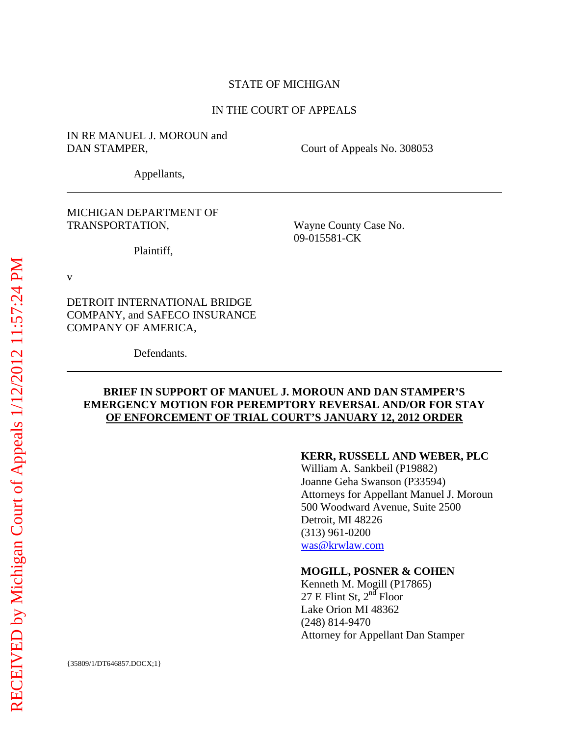#### STATE OF MICHIGAN

#### IN THE COURT OF APPEALS

### IN RE MANUEL J. MOROUN and DAN STAMPER, Court of Appeals No. 308053

Appellants,

MICHIGAN DEPARTMENT OF TRANSPORTATION,

Plaintiff,

Wayne County Case No. 09-015581-CK

v

 $\overline{a}$ 

 $\overline{a}$ 

DETROIT INTERNATIONAL BRIDGE COMPANY, and SAFECO INSURANCE COMPANY OF AMERICA,

Defendants.

### **BRIEF IN SUPPORT OF MANUEL J. MOROUN AND DAN STAMPER'S EMERGENCY MOTION FOR PEREMPTORY REVERSAL AND/OR FOR STAY OF ENFORCEMENT OF TRIAL COURT'S JANUARY 12, 2012 ORDER**

#### **KERR, RUSSELL AND WEBER, PLC**

William A. Sankbeil (P19882) Joanne Geha Swanson (P33594) Attorneys for Appellant Manuel J. Moroun 500 Woodward Avenue, Suite 2500 Detroit, MI 48226 (313) 961-0200 was@krwlaw.com

#### **MOGILL, POSNER & COHEN**

Kenneth M. Mogill (P17865) 27 E Flint St,  $2^{n\bar{d}}$  Floor Lake Orion MI 48362 (248) 814-9470 Attorney for Appellant Dan Stamper

{35809/1/DT646857.DOCX;1}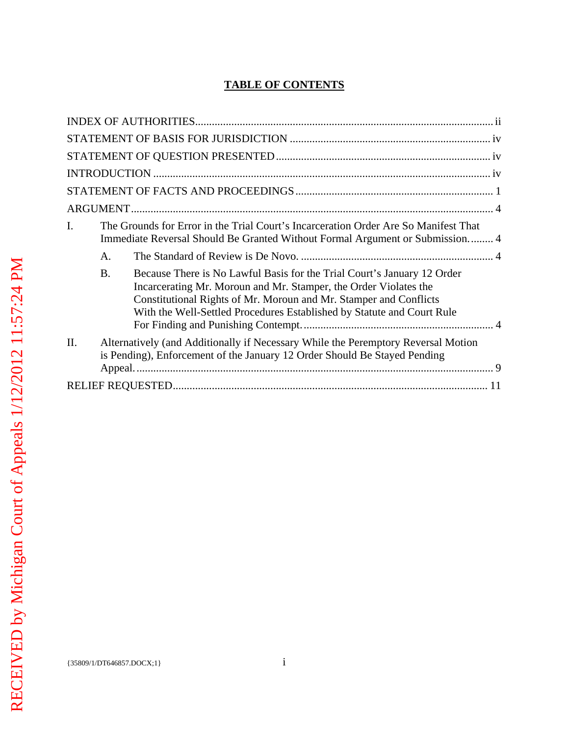# **TABLE OF CONTENTS**

| I. |             | The Grounds for Error in the Trial Court's Incarceration Order Are So Manifest That<br>Immediate Reversal Should Be Granted Without Formal Argument or Submission 4                                                                                                                        |  |  |  |
|----|-------------|--------------------------------------------------------------------------------------------------------------------------------------------------------------------------------------------------------------------------------------------------------------------------------------------|--|--|--|
|    | $A_{\cdot}$ |                                                                                                                                                                                                                                                                                            |  |  |  |
|    | <b>B.</b>   | Because There is No Lawful Basis for the Trial Court's January 12 Order<br>Incarcerating Mr. Moroun and Mr. Stamper, the Order Violates the<br>Constitutional Rights of Mr. Moroun and Mr. Stamper and Conflicts<br>With the Well-Settled Procedures Established by Statute and Court Rule |  |  |  |
| Π. |             | Alternatively (and Additionally if Necessary While the Peremptory Reversal Motion<br>is Pending), Enforcement of the January 12 Order Should Be Stayed Pending                                                                                                                             |  |  |  |
|    |             |                                                                                                                                                                                                                                                                                            |  |  |  |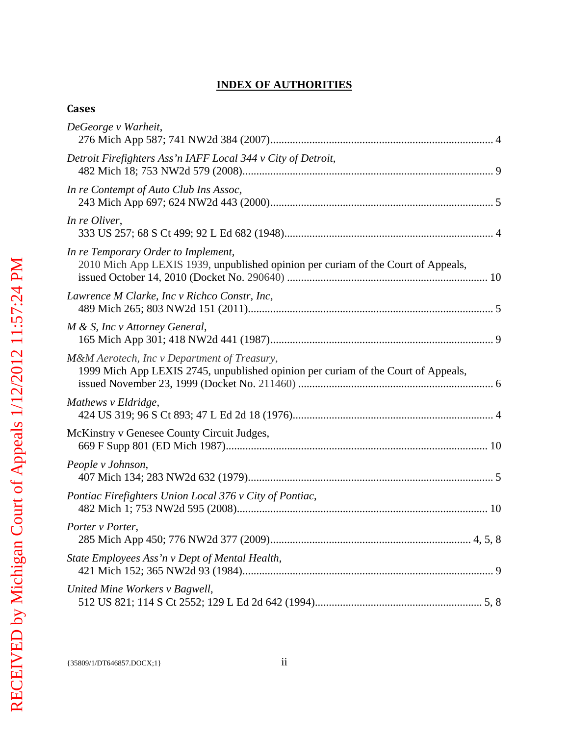## **INDEX OF AUTHORITIES**

## **Cases**

| DeGeorge v Warheit,                                                                                                              |
|----------------------------------------------------------------------------------------------------------------------------------|
| Detroit Firefighters Ass'n IAFF Local 344 v City of Detroit,                                                                     |
| In re Contempt of Auto Club Ins Assoc,                                                                                           |
| In re Oliver,                                                                                                                    |
| In re Temporary Order to Implement,<br>2010 Mich App LEXIS 1939, unpublished opinion per curiam of the Court of Appeals,         |
| Lawrence M Clarke, Inc v Richco Constr, Inc,                                                                                     |
| M & S, Inc v Attorney General,                                                                                                   |
| M&M Aerotech, Inc v Department of Treasury,<br>1999 Mich App LEXIS 2745, unpublished opinion per curiam of the Court of Appeals, |
| Mathews v Eldridge,                                                                                                              |
| McKinstry v Genesee County Circuit Judges,                                                                                       |
| People v Johnson,                                                                                                                |
| Pontiac Firefighters Union Local 376 v City of Pontiac,                                                                          |
| Porter v Porter,                                                                                                                 |
| State Employees Ass'n v Dept of Mental Health,                                                                                   |
| United Mine Workers v Bagwell,                                                                                                   |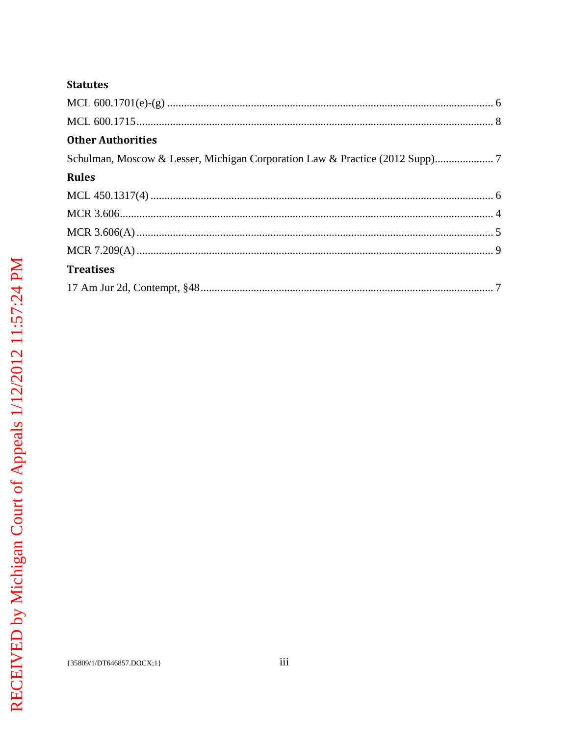## **Statutes**

| <b>Other Authorities</b>                                                     |  |
|------------------------------------------------------------------------------|--|
| Schulman, Moscow & Lesser, Michigan Corporation Law & Practice (2012 Supp) 7 |  |
| <b>Rules</b>                                                                 |  |
|                                                                              |  |
|                                                                              |  |
|                                                                              |  |
|                                                                              |  |
| <b>Treatises</b>                                                             |  |
|                                                                              |  |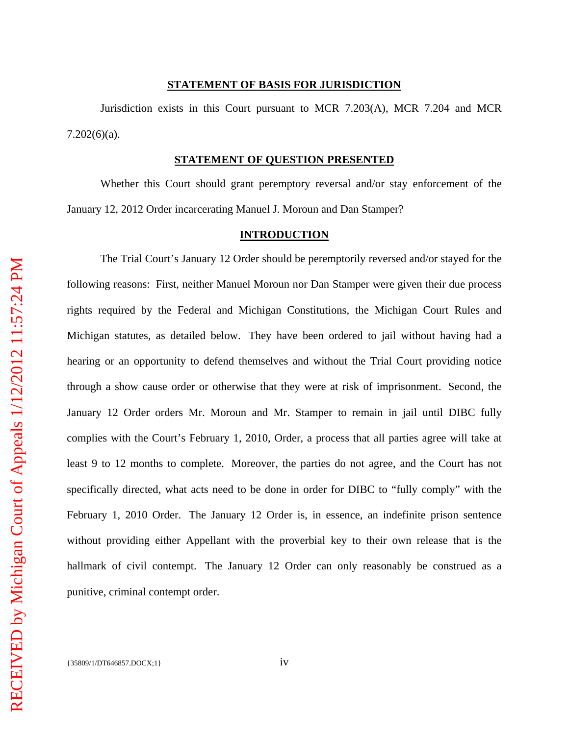#### **STATEMENT OF BASIS FOR JURISDICTION**

Jurisdiction exists in this Court pursuant to MCR 7.203(A), MCR 7.204 and MCR  $7.202(6)(a)$ .

#### **STATEMENT OF QUESTION PRESENTED**

Whether this Court should grant peremptory reversal and/or stay enforcement of the January 12, 2012 Order incarcerating Manuel J. Moroun and Dan Stamper?

#### **INTRODUCTION**

The Trial Court's January 12 Order should be peremptorily reversed and/or stayed for the following reasons: First, neither Manuel Moroun nor Dan Stamper were given their due process rights required by the Federal and Michigan Constitutions, the Michigan Court Rules and Michigan statutes, as detailed below. They have been ordered to jail without having had a hearing or an opportunity to defend themselves and without the Trial Court providing notice through a show cause order or otherwise that they were at risk of imprisonment. Second, the January 12 Order orders Mr. Moroun and Mr. Stamper to remain in jail until DIBC fully complies with the Court's February 1, 2010, Order, a process that all parties agree will take at least 9 to 12 months to complete. Moreover, the parties do not agree, and the Court has not specifically directed, what acts need to be done in order for DIBC to "fully comply" with the February 1, 2010 Order. The January 12 Order is, in essence, an indefinite prison sentence without providing either Appellant with the proverbial key to their own release that is the hallmark of civil contempt. The January 12 Order can only reasonably be construed as a punitive, criminal contempt order.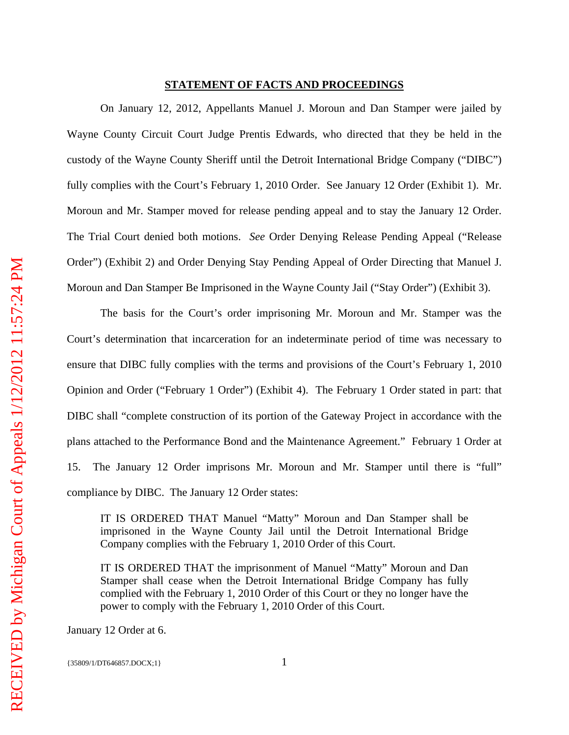#### **STATEMENT OF FACTS AND PROCEEDINGS**

On January 12, 2012, Appellants Manuel J. Moroun and Dan Stamper were jailed by Wayne County Circuit Court Judge Prentis Edwards, who directed that they be held in the custody of the Wayne County Sheriff until the Detroit International Bridge Company ("DIBC") fully complies with the Court's February 1, 2010 Order. See January 12 Order (Exhibit 1). Mr. Moroun and Mr. Stamper moved for release pending appeal and to stay the January 12 Order. The Trial Court denied both motions. *See* Order Denying Release Pending Appeal ("Release Order") (Exhibit 2) and Order Denying Stay Pending Appeal of Order Directing that Manuel J. Moroun and Dan Stamper Be Imprisoned in the Wayne County Jail ("Stay Order") (Exhibit 3).

The basis for the Court's order imprisoning Mr. Moroun and Mr. Stamper was the Court's determination that incarceration for an indeterminate period of time was necessary to ensure that DIBC fully complies with the terms and provisions of the Court's February 1, 2010 Opinion and Order ("February 1 Order") (Exhibit 4). The February 1 Order stated in part: that DIBC shall "complete construction of its portion of the Gateway Project in accordance with the plans attached to the Performance Bond and the Maintenance Agreement." February 1 Order at 15. The January 12 Order imprisons Mr. Moroun and Mr. Stamper until there is "full" compliance by DIBC. The January 12 Order states:

IT IS ORDERED THAT Manuel "Matty" Moroun and Dan Stamper shall be imprisoned in the Wayne County Jail until the Detroit International Bridge Company complies with the February 1, 2010 Order of this Court.

IT IS ORDERED THAT the imprisonment of Manuel "Matty" Moroun and Dan Stamper shall cease when the Detroit International Bridge Company has fully complied with the February 1, 2010 Order of this Court or they no longer have the power to comply with the February 1, 2010 Order of this Court.

January 12 Order at 6.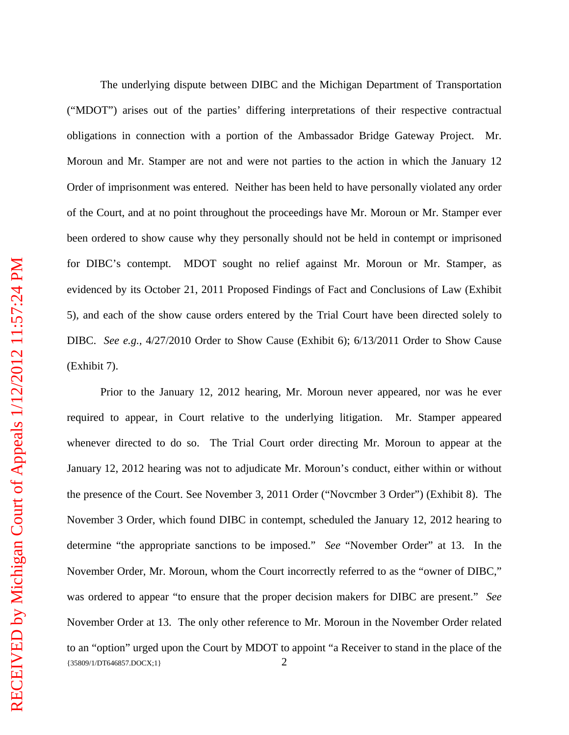The underlying dispute between DIBC and the Michigan Department of Transportation ("MDOT") arises out of the parties' differing interpretations of their respective contractual obligations in connection with a portion of the Ambassador Bridge Gateway Project. Mr. Moroun and Mr. Stamper are not and were not parties to the action in which the January 12 Order of imprisonment was entered. Neither has been held to have personally violated any order of the Court, and at no point throughout the proceedings have Mr. Moroun or Mr. Stamper ever been ordered to show cause why they personally should not be held in contempt or imprisoned for DIBC's contempt. MDOT sought no relief against Mr. Moroun or Mr. Stamper, as evidenced by its October 21, 2011 Proposed Findings of Fact and Conclusions of Law (Exhibit 5), and each of the show cause orders entered by the Trial Court have been directed solely to DIBC. *See e.g.,* 4/27/2010 Order to Show Cause (Exhibit 6); 6/13/2011 Order to Show Cause (Exhibit 7).

{35809/1/DT646857.DOCX;1} 2 Prior to the January 12, 2012 hearing, Mr. Moroun never appeared, nor was he ever required to appear, in Court relative to the underlying litigation. Mr. Stamper appeared whenever directed to do so. The Trial Court order directing Mr. Moroun to appear at the January 12, 2012 hearing was not to adjudicate Mr. Moroun's conduct, either within or without the presence of the Court. See November 3, 2011 Order ("Novcmber 3 Order") (Exhibit 8). The November 3 Order, which found DIBC in contempt, scheduled the January 12, 2012 hearing to determine "the appropriate sanctions to be imposed." *See* "November Order" at 13. In the November Order, Mr. Moroun, whom the Court incorrectly referred to as the "owner of DIBC," was ordered to appear "to ensure that the proper decision makers for DIBC are present." *See* November Order at 13. The only other reference to Mr. Moroun in the November Order related to an "option" urged upon the Court by MDOT to appoint "a Receiver to stand in the place of the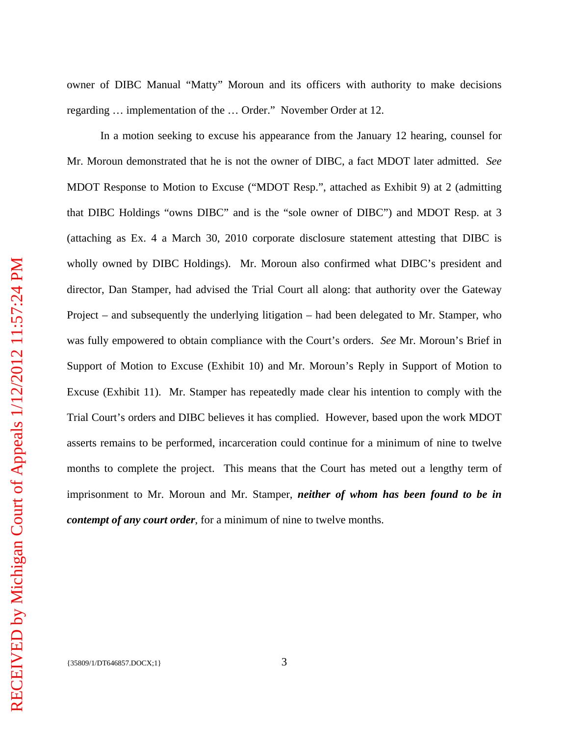owner of DIBC Manual "Matty" Moroun and its officers with authority to make decisions regarding … implementation of the … Order." November Order at 12.

In a motion seeking to excuse his appearance from the January 12 hearing, counsel for Mr. Moroun demonstrated that he is not the owner of DIBC, a fact MDOT later admitted. *See* MDOT Response to Motion to Excuse ("MDOT Resp.", attached as Exhibit 9) at 2 (admitting that DIBC Holdings "owns DIBC" and is the "sole owner of DIBC") and MDOT Resp. at 3 (attaching as Ex. 4 a March 30, 2010 corporate disclosure statement attesting that DIBC is wholly owned by DIBC Holdings). Mr. Moroun also confirmed what DIBC's president and director, Dan Stamper, had advised the Trial Court all along: that authority over the Gateway Project – and subsequently the underlying litigation – had been delegated to Mr. Stamper, who was fully empowered to obtain compliance with the Court's orders. *See* Mr. Moroun's Brief in Support of Motion to Excuse (Exhibit 10) and Mr. Moroun's Reply in Support of Motion to Excuse (Exhibit 11). Mr. Stamper has repeatedly made clear his intention to comply with the Trial Court's orders and DIBC believes it has complied. However, based upon the work MDOT asserts remains to be performed, incarceration could continue for a minimum of nine to twelve months to complete the project. This means that the Court has meted out a lengthy term of imprisonment to Mr. Moroun and Mr. Stamper, *neither of whom has been found to be in contempt of any court order*, for a minimum of nine to twelve months.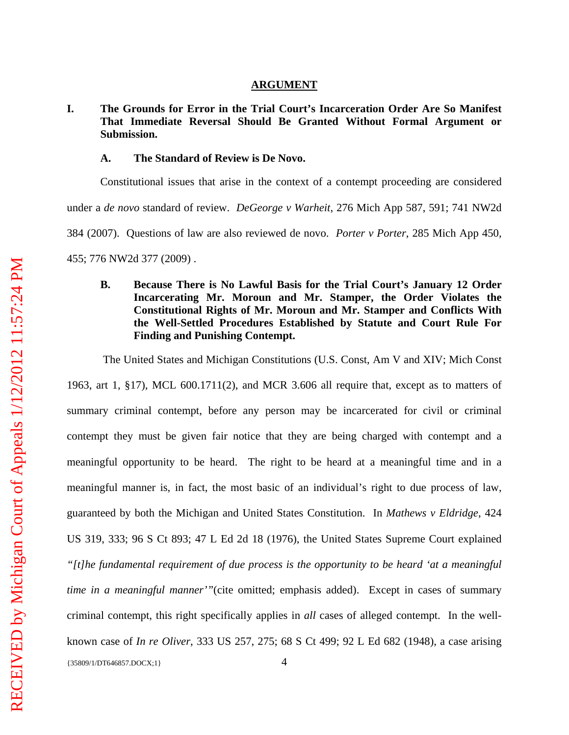#### **ARGUMENT**

## **I. The Grounds for Error in the Trial Court's Incarceration Order Are So Manifest That Immediate Reversal Should Be Granted Without Formal Argument or Submission.**

#### **A. The Standard of Review is De Novo.**

Constitutional issues that arise in the context of a contempt proceeding are considered under a *de novo* standard of review. *DeGeorge v Warheit*, 276 Mich App 587, 591; 741 NW2d 384 (2007). Questions of law are also reviewed de novo. *Porter v Porter*, 285 Mich App 450, 455; 776 NW2d 377 (2009) .

## **B. Because There is No Lawful Basis for the Trial Court's January 12 Order Incarcerating Mr. Moroun and Mr. Stamper, the Order Violates the Constitutional Rights of Mr. Moroun and Mr. Stamper and Conflicts With the Well-Settled Procedures Established by Statute and Court Rule For Finding and Punishing Contempt.**

The United States and Michigan Constitutions (U.S. Const, Am V and XIV; Mich Const

{35809/1/DT646857.DOCX;1} 4 1963, art 1, §17), MCL 600.1711(2), and MCR 3.606 all require that, except as to matters of summary criminal contempt, before any person may be incarcerated for civil or criminal contempt they must be given fair notice that they are being charged with contempt and a meaningful opportunity to be heard. The right to be heard at a meaningful time and in a meaningful manner is, in fact, the most basic of an individual's right to due process of law, guaranteed by both the Michigan and United States Constitution. In *Mathews v Eldridge*, 424 US 319, 333; 96 S Ct 893; 47 L Ed 2d 18 (1976), the United States Supreme Court explained *"[t]he fundamental requirement of due process is the opportunity to be heard 'at a meaningful time in a meaningful manner*'"(cite omitted; emphasis added). Except in cases of summary criminal contempt, this right specifically applies in *all* cases of alleged contempt. In the wellknown case of *In re Oliver*, 333 US 257, 275; 68 S Ct 499; 92 L Ed 682 (1948), a case arising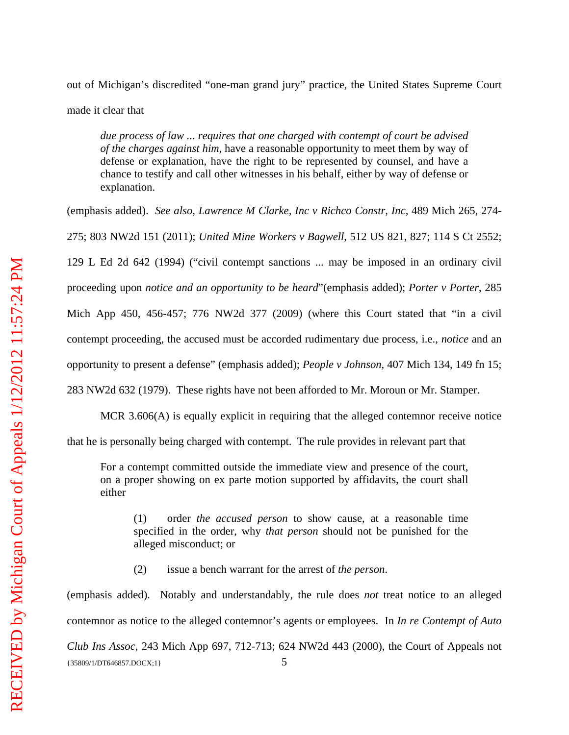out of Michigan's discredited "one-man grand jury" practice, the United States Supreme Court

made it clear that

*due process of law ... requires that one charged with contempt of court be advised of the charges against him*, have a reasonable opportunity to meet them by way of defense or explanation, have the right to be represented by counsel, and have a chance to testify and call other witnesses in his behalf, either by way of defense or explanation.

(emphasis added). *See also*, *Lawrence M Clarke, Inc v Richco Constr, Inc,* 489 Mich 265, 274- 275; 803 NW2d 151 (2011); *United Mine Workers v Bagwell*, 512 US 821, 827; 114 S Ct 2552; 129 L Ed 2d 642 (1994) ("civil contempt sanctions ... may be imposed in an ordinary civil proceeding upon *notice and an opportunity to be heard*"(emphasis added); *Porter v Porter*, 285 Mich App 450, 456-457; 776 NW2d 377 (2009) (where this Court stated that "in a civil contempt proceeding, the accused must be accorded rudimentary due process, i.e., *notice* and an opportunity to present a defense" (emphasis added); *People v Johnson*, 407 Mich 134, 149 fn 15; 283 NW2d 632 (1979). These rights have not been afforded to Mr. Moroun or Mr. Stamper.

MCR 3.606(A) is equally explicit in requiring that the alleged contemnor receive notice

that he is personally being charged with contempt. The rule provides in relevant part that

For a contempt committed outside the immediate view and presence of the court, on a proper showing on ex parte motion supported by affidavits, the court shall either

(1) order *the accused person* to show cause, at a reasonable time specified in the order, why *that person* should not be punished for the alleged misconduct; or

(2) issue a bench warrant for the arrest of *the person*.

(emphasis added). Notably and understandably, the rule does *not* treat notice to an alleged contemnor as notice to the alleged contemnor's agents or employees. In *In re Contempt of Auto* 

{35809/1/DT646857.DOCX;1} 5 *Club Ins Assoc,* 243 Mich App 697, 712-713; 624 NW2d 443 (2000), the Court of Appeals not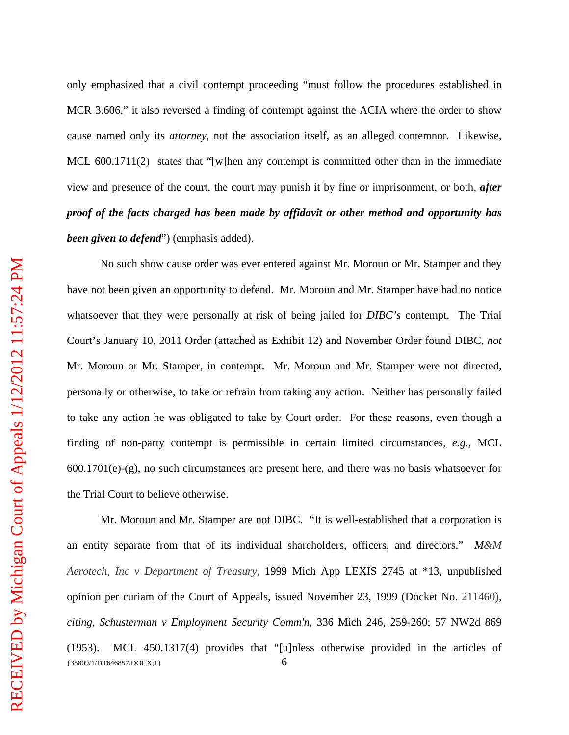only emphasized that a civil contempt proceeding "must follow the procedures established in MCR 3.606," it also reversed a finding of contempt against the ACIA where the order to show cause named only its *attorney*, not the association itself, as an alleged contemnor. Likewise, MCL 600.1711(2) states that "[w]hen any contempt is committed other than in the immediate view and presence of the court, the court may punish it by fine or imprisonment, or both, *after proof of the facts charged has been made by affidavit or other method and opportunity has been given to defend*") (emphasis added).

No such show cause order was ever entered against Mr. Moroun or Mr. Stamper and they have not been given an opportunity to defend. Mr. Moroun and Mr. Stamper have had no notice whatsoever that they were personally at risk of being jailed for *DIBC's* contempt. The Trial Court's January 10, 2011 Order (attached as Exhibit 12) and November Order found DIBC, *not* Mr. Moroun or Mr. Stamper, in contempt. Mr. Moroun and Mr. Stamper were not directed, personally or otherwise, to take or refrain from taking any action. Neither has personally failed to take any action he was obligated to take by Court order. For these reasons, even though a finding of non-party contempt is permissible in certain limited circumstances, *e.g*., MCL 600.1701(e)-(g), no such circumstances are present here, and there was no basis whatsoever for the Trial Court to believe otherwise.

 $\{35809/1/DT646857.DOCX;1\}$  6 Mr. Moroun and Mr. Stamper are not DIBC. "It is well-established that a corporation is an entity separate from that of its individual shareholders, officers, and directors." *M&M Aerotech, Inc v Department of Treasury*, 1999 Mich App LEXIS 2745 at \*13, unpublished opinion per curiam of the Court of Appeals, issued November 23, 1999 (Docket No. 211460), *citing*, *Schusterman v Employment Security Comm'n*, 336 Mich 246, 259-260; 57 NW2d 869 (1953). MCL 450.1317(4) provides that "[u]nless otherwise provided in the articles of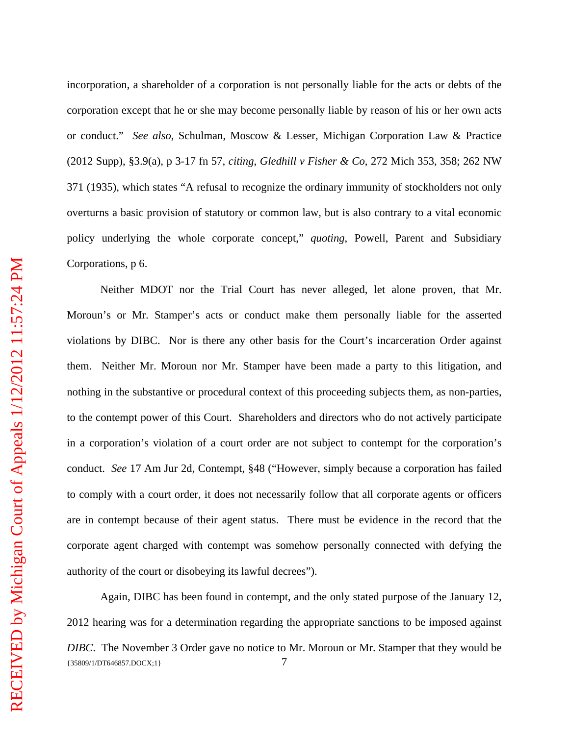incorporation, a shareholder of a corporation is not personally liable for the acts or debts of the corporation except that he or she may become personally liable by reason of his or her own acts or conduct." *See also*, Schulman, Moscow & Lesser, Michigan Corporation Law & Practice (2012 Supp), §3.9(a), p 3-17 fn 57, *citing*, *Gledhill v Fisher & Co*, 272 Mich 353, 358; 262 NW 371 (1935), which states "A refusal to recognize the ordinary immunity of stockholders not only overturns a basic provision of statutory or common law, but is also contrary to a vital economic policy underlying the whole corporate concept," *quoting*, Powell, Parent and Subsidiary Corporations, p 6.

Neither MDOT nor the Trial Court has never alleged, let alone proven, that Mr. Moroun's or Mr. Stamper's acts or conduct make them personally liable for the asserted violations by DIBC. Nor is there any other basis for the Court's incarceration Order against them. Neither Mr. Moroun nor Mr. Stamper have been made a party to this litigation, and nothing in the substantive or procedural context of this proceeding subjects them, as non-parties, to the contempt power of this Court. Shareholders and directors who do not actively participate in a corporation's violation of a court order are not subject to contempt for the corporation's conduct. *See* 17 Am Jur 2d, Contempt, §48 ("However, simply because a corporation has failed to comply with a court order, it does not necessarily follow that all corporate agents or officers are in contempt because of their agent status. There must be evidence in the record that the corporate agent charged with contempt was somehow personally connected with defying the authority of the court or disobeying its lawful decrees").

{35809/1/DT646857.DOCX;1} 7 Again, DIBC has been found in contempt, and the only stated purpose of the January 12, 2012 hearing was for a determination regarding the appropriate sanctions to be imposed against *DIBC*. The November 3 Order gave no notice to Mr. Moroun or Mr. Stamper that they would be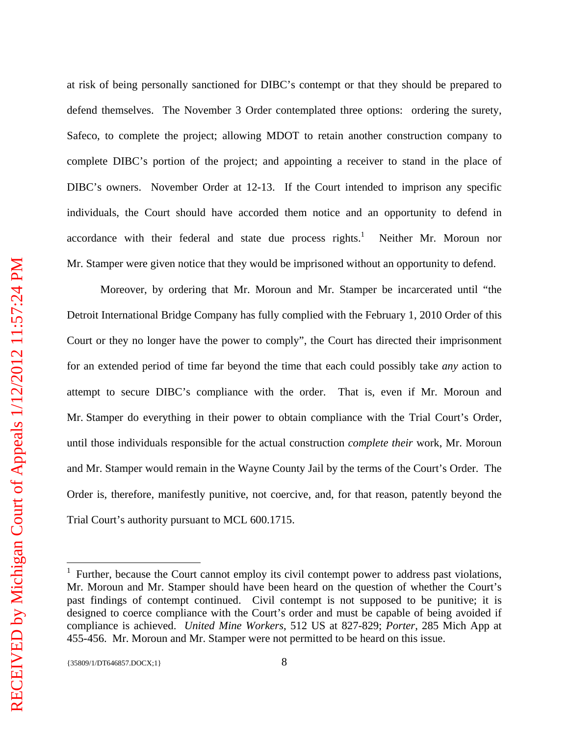at risk of being personally sanctioned for DIBC's contempt or that they should be prepared to defend themselves. The November 3 Order contemplated three options: ordering the surety, Safeco, to complete the project; allowing MDOT to retain another construction company to complete DIBC's portion of the project; and appointing a receiver to stand in the place of DIBC's owners. November Order at 12-13. If the Court intended to imprison any specific individuals, the Court should have accorded them notice and an opportunity to defend in accordance with their federal and state due process rights. $<sup>1</sup>$ </sup> Neither Mr. Moroun nor Mr. Stamper were given notice that they would be imprisoned without an opportunity to defend.

Moreover, by ordering that Mr. Moroun and Mr. Stamper be incarcerated until "the Detroit International Bridge Company has fully complied with the February 1, 2010 Order of this Court or they no longer have the power to comply", the Court has directed their imprisonment for an extended period of time far beyond the time that each could possibly take *any* action to attempt to secure DIBC's compliance with the order. That is, even if Mr. Moroun and Mr. Stamper do everything in their power to obtain compliance with the Trial Court's Order, until those individuals responsible for the actual construction *complete their* work, Mr. Moroun and Mr. Stamper would remain in the Wayne County Jail by the terms of the Court's Order. The Order is, therefore, manifestly punitive, not coercive, and, for that reason, patently beyond the Trial Court's authority pursuant to MCL 600.1715.

 $\overline{a}$ 

<sup>1</sup> Further, because the Court cannot employ its civil contempt power to address past violations, Mr. Moroun and Mr. Stamper should have been heard on the question of whether the Court's past findings of contempt continued. Civil contempt is not supposed to be punitive; it is designed to coerce compliance with the Court's order and must be capable of being avoided if compliance is achieved. *United Mine Workers*, 512 US at 827-829; *Porter*, 285 Mich App at 455-456. Mr. Moroun and Mr. Stamper were not permitted to be heard on this issue.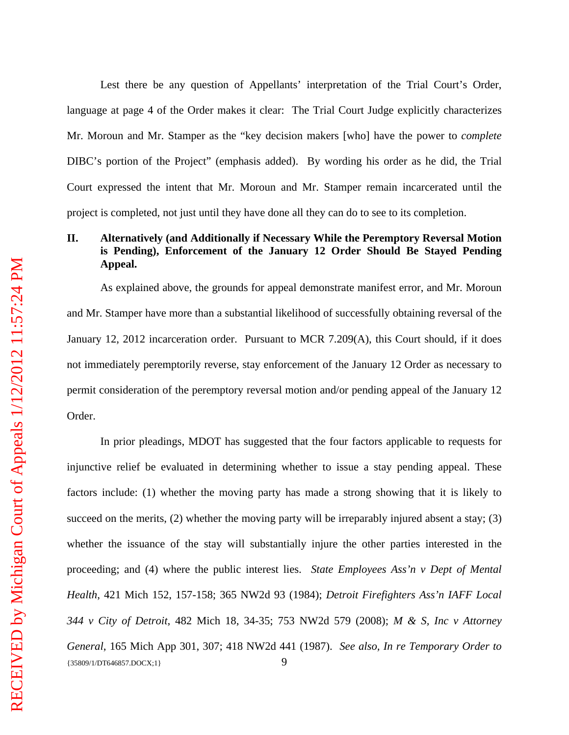Lest there be any question of Appellants' interpretation of the Trial Court's Order, language at page 4 of the Order makes it clear: The Trial Court Judge explicitly characterizes Mr. Moroun and Mr. Stamper as the "key decision makers [who] have the power to *complete* DIBC's portion of the Project" (emphasis added). By wording his order as he did, the Trial Court expressed the intent that Mr. Moroun and Mr. Stamper remain incarcerated until the project is completed, not just until they have done all they can do to see to its completion.

## **II. Alternatively (and Additionally if Necessary While the Peremptory Reversal Motion is Pending), Enforcement of the January 12 Order Should Be Stayed Pending Appeal.**

As explained above, the grounds for appeal demonstrate manifest error, and Mr. Moroun and Mr. Stamper have more than a substantial likelihood of successfully obtaining reversal of the January 12, 2012 incarceration order. Pursuant to MCR 7.209(A), this Court should, if it does not immediately peremptorily reverse, stay enforcement of the January 12 Order as necessary to permit consideration of the peremptory reversal motion and/or pending appeal of the January 12 Order.

{35809/1/DT646857.DOCX;1} 9 In prior pleadings, MDOT has suggested that the four factors applicable to requests for injunctive relief be evaluated in determining whether to issue a stay pending appeal. These factors include: (1) whether the moving party has made a strong showing that it is likely to succeed on the merits, (2) whether the moving party will be irreparably injured absent a stay; (3) whether the issuance of the stay will substantially injure the other parties interested in the proceeding; and (4) where the public interest lies. *State Employees Ass'n v Dept of Mental Health*, 421 Mich 152, 157-158; 365 NW2d 93 (1984); *Detroit Firefighters Ass'n IAFF Local 344 v City of Detroit*, 482 Mich 18, 34-35; 753 NW2d 579 (2008); *M & S, Inc v Attorney General*, 165 Mich App 301, 307; 418 NW2d 441 (1987). *See also, In re Temporary Order to*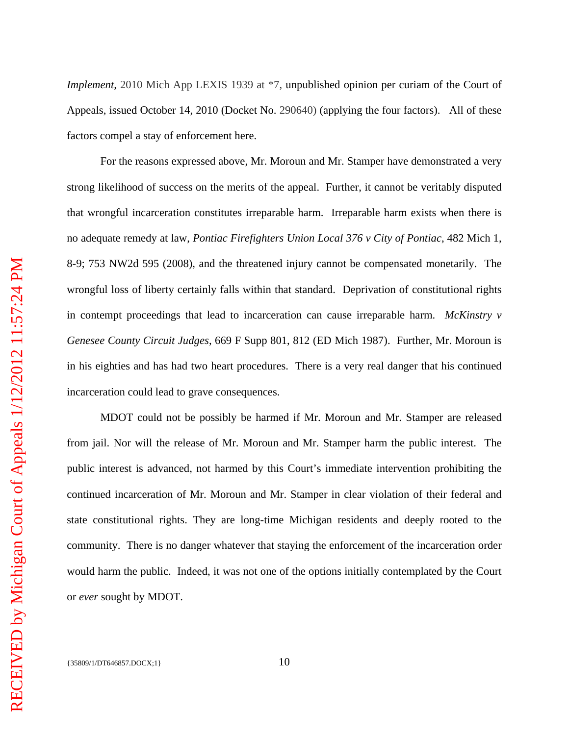*Implement,* 2010 Mich App LEXIS 1939 at  $*7$ , unpublished opinion per curiam of the Court of Appeals, issued October 14, 2010 (Docket No. 290640) (applying the four factors). All of these factors compel a stay of enforcement here.

For the reasons expressed above, Mr. Moroun and Mr. Stamper have demonstrated a very strong likelihood of success on the merits of the appeal. Further, it cannot be veritably disputed that wrongful incarceration constitutes irreparable harm. Irreparable harm exists when there is no adequate remedy at law, *Pontiac Firefighters Union Local 376 v City of Pontiac*, 482 Mich 1, 8-9; 753 NW2d 595 (2008), and the threatened injury cannot be compensated monetarily. The wrongful loss of liberty certainly falls within that standard. Deprivation of constitutional rights in contempt proceedings that lead to incarceration can cause irreparable harm. *McKinstry v Genesee County Circuit Judges*, 669 F Supp 801, 812 (ED Mich 1987). Further, Mr. Moroun is in his eighties and has had two heart procedures. There is a very real danger that his continued incarceration could lead to grave consequences.

MDOT could not be possibly be harmed if Mr. Moroun and Mr. Stamper are released from jail. Nor will the release of Mr. Moroun and Mr. Stamper harm the public interest. The public interest is advanced, not harmed by this Court's immediate intervention prohibiting the continued incarceration of Mr. Moroun and Mr. Stamper in clear violation of their federal and state constitutional rights. They are long-time Michigan residents and deeply rooted to the community. There is no danger whatever that staying the enforcement of the incarceration order would harm the public. Indeed, it was not one of the options initially contemplated by the Court or *ever* sought by MDOT.